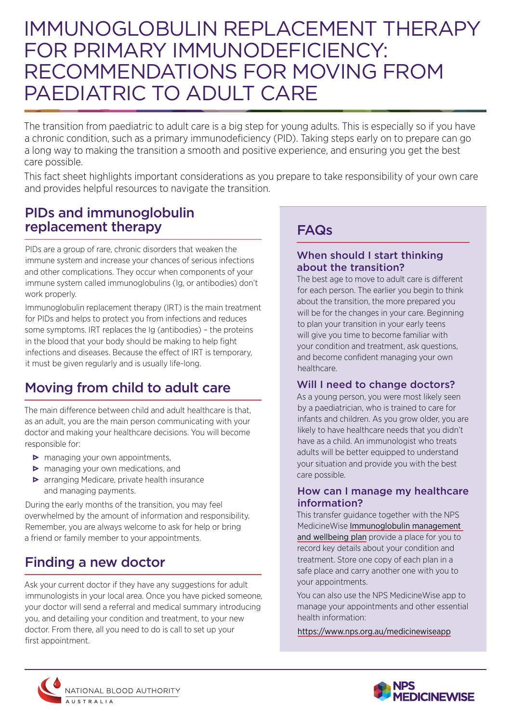# IMMUNOGLOBULIN REPLACEMENT THERAPY FOR PRIMARY IMMUNODEFICIENCY: RECOMMENDATIONS FOR MOVING FROM PAEDIATRIC TO ADULT CARE

The transition from paediatric to adult care is a big step for young adults. This is especially so if you have a chronic condition, such as a primary immunodeficiency (PID). Taking steps early on to prepare can go a long way to making the transition a smooth and positive experience, and ensuring you get the best care possible.

This fact sheet highlights important considerations as you prepare to take responsibility of your own care and provides helpful resources to navigate the transition.

### PIDs and immunoglobulin replacement therapy

PIDs are a group of rare, chronic disorders that weaken the immune system and increase your chances of serious infections and other complications. They occur when components of your immune system called immunoglobulins (Ig, or antibodies) don't work properly.

Immunoglobulin replacement therapy (IRT) is the main treatment for PIDs and helps to protect you from infections and reduces some symptoms. IRT replaces the Ig (antibodies) – the proteins in the blood that your body should be making to help fight infections and diseases. Because the effect of IRT is temporary, it must be given regularly and is usually life-long.

## Moving from child to adult care

The main difference between child and adult healthcare is that, as an adult, you are the main person communicating with your doctor and making your healthcare decisions. You will become responsible for:

- $\triangleright$  managing your own appointments,
- $\triangleright$  managing your own medications, and
- **•** arranging Medicare, private health insurance and managing payments.

During the early months of the transition, you may feel overwhelmed by the amount of information and responsibility. Remember, you are always welcome to ask for help or bring a friend or family member to your appointments.

## Finding a new doctor

Ask your current doctor if they have any suggestions for adult immunologists in your local area. Once you have picked someone, your doctor will send a referral and medical summary introducing you, and detailing your condition and treatment, to your new doctor. From there, all you need to do is call to set up your first appointment.

### FAQs

#### When should I start thinking about the transition?

The best age to move to adult care is different for each person. The earlier you begin to think about the transition, the more prepared you will be for the changes in your care. Beginning to plan your transition in your early teens will give you time to become familiar with your condition and treatment, ask questions, and become confident managing your own healthcare.

#### Will I need to change doctors?

As a young person, you were most likely seen by a paediatrician, who is trained to care for infants and children. As you grow older, you are likely to have healthcare needs that you didn't have as a child. An immunologist who treats adults will be better equipped to understand your situation and provide you with the best care possible.

#### How can I manage my healthcare information?

This transfer guidance together with the NPS MedicineWise [Immunoglobulin management](https://www.nps.org.au/pdf-ig-management-plan)  [and wellbeing plan](https://www.nps.org.au/pdf-ig-management-plan) provide a place for you to record key details about your condition and treatment. Store one copy of each plan in a safe place and carry another one with you to your appointments.

You can also use the NPS MedicineWise app to manage your appointments and other essential health information:

<https://www.nps.org.au/medicinewiseapp>



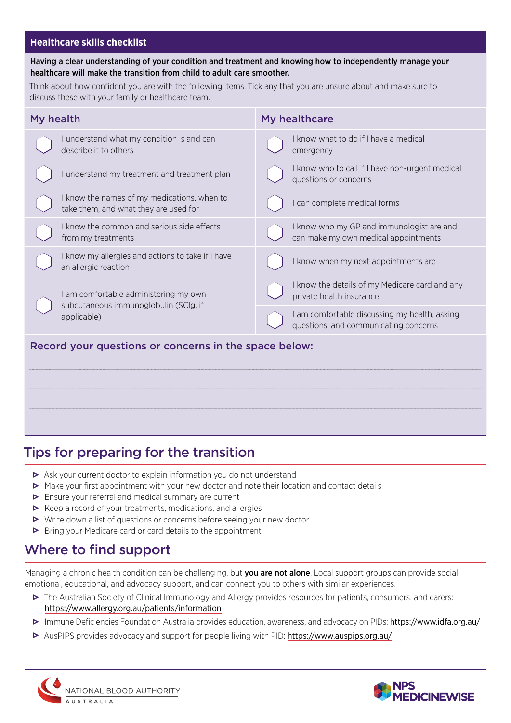#### **Healthcare skills checklist**

#### Having a clear understanding of your condition and treatment and knowing how to independently manage your healthcare will make the transition from child to adult care smoother.

Think about how confident you are with the following items. Tick any that you are unsure about and make sure to discuss these with your family or healthcare team.

| My health                                                                                     | My healthcare                                                                          |
|-----------------------------------------------------------------------------------------------|----------------------------------------------------------------------------------------|
| I understand what my condition is and can<br>describe it to others                            | I know what to do if I have a medical<br>emergency                                     |
| I understand my treatment and treatment plan                                                  | I know who to call if I have non-urgent medical<br>questions or concerns               |
| I know the names of my medications, when to<br>take them, and what they are used for          | can complete medical forms                                                             |
| I know the common and serious side effects<br>from my treatments                              | I know who my GP and immunologist are and<br>can make my own medical appointments      |
| I know my allergies and actions to take if I have<br>an allergic reaction                     | I know when my next appointments are                                                   |
| I am comfortable administering my own<br>subcutaneous immunoglobulin (SCIg, if<br>applicable) | I know the details of my Medicare card and any<br>private health insurance             |
|                                                                                               | I am comfortable discussing my health, asking<br>questions, and communicating concerns |
| Record your questions or concerns in the space below:                                         |                                                                                        |

# Tips for preparing for the transition

- ▶ Ask your current doctor to explain information you do not understand
- $\triangleright$  Make your first appointment with your new doctor and note their location and contact details
- Ensure your referral and medical summary are current
- $\triangleright$  Keep a record of your treatments, medications, and allergies
- Write down a list of questions or concerns before seeing your new doctor
- Bring your Medicare card or card details to the appointment

### Where to find support

Managing a chronic health condition can be challenging, but you are not alone. Local support groups can provide social, emotional, educational, and advocacy support, and can connect you to others with similar experiences.

- The Australian Society of Clinical Immunology and Allergy provides resources for patients, consumers, and carers: https:/[/www.allergy.org.au/patients/information](http://www.allergy.org.au/patients/information)
- Immune Deficiencies Foundation Australia provides education, awareness, and advocacy on PIDs: [https://www.idfa.org.au/](https://www.idfa.org.au/ )
- AusPIPS provides advocacy and support for people living with PID: <https://www.auspips.org.au/>